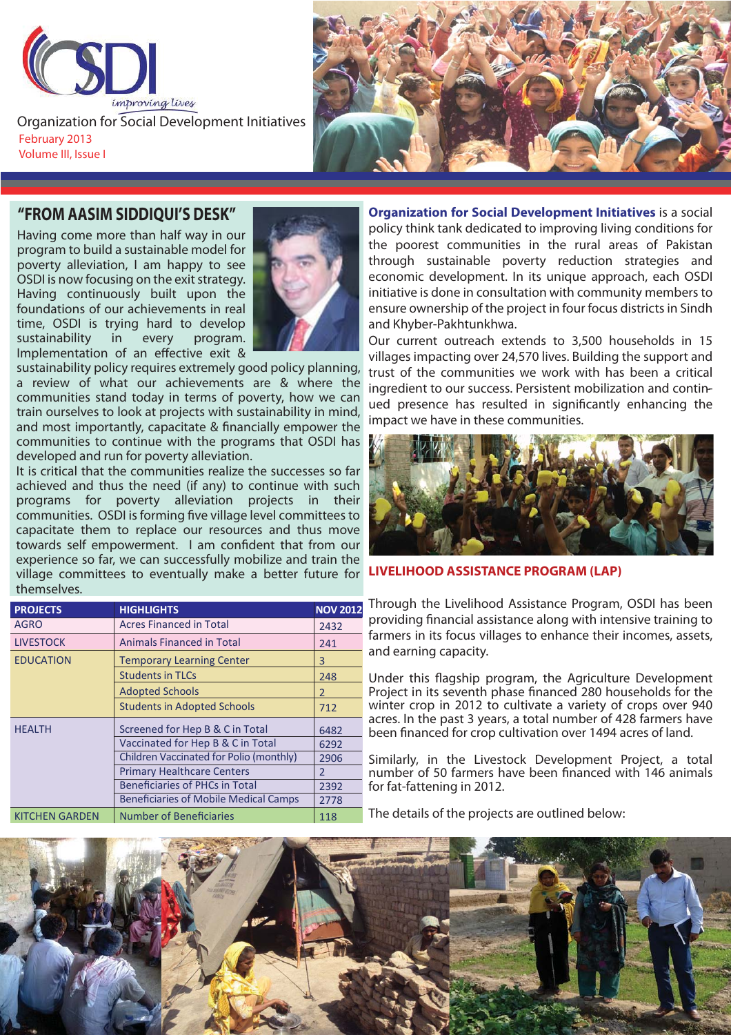

February 2013 Volume III, Issue I Organization for Social Development Initiatives



Having come more than half way in our program to build a sustainable model for poverty alleviation, I am happy to see OSDI is now focusing on the exit strategy. Having continuously built upon the foundations of our achievements in real time, OSDI is trying hard to develop sustainability in every program. Implementation of an effective exit &



sustainability policy requires extremely good policy planning, a review of what our achievements are & where the communities stand today in terms of poverty, how we can train ourselves to look at projects with sustainability in mind, and most importantly, capacitate & financially empower the communities to continue with the programs that OSDI has developed and run for poverty alleviation.

village committees to eventually make a better future for **LIVELIHOOD ASSISTANCE PROGRAM (LAP)**<br>thomsolves It is critical that the communities realize the successes so far achieved and thus the need (if any) to continue with such programs for poverty alleviation projects in their communities. OSDI is forming five village level committees to capacitate them to replace our resources and thus move towards self empowerment. I am confident that from our experience so far, we can successfully mobilize and train the themselves.

| <b>PROJECTS</b>       | <b>HIGHLIGHTS</b>                            | <b>NOV 2012</b> |
|-----------------------|----------------------------------------------|-----------------|
| <b>AGRO</b>           | <b>Acres Financed in Total</b>               | 2432            |
| <b>LIVESTOCK</b>      | <b>Animals Financed in Total</b>             | 241             |
| <b>EDUCATION</b>      | <b>Temporary Learning Center</b>             | 3               |
|                       | <b>Students in TLCs</b>                      | 248             |
|                       | <b>Adopted Schools</b>                       | 2               |
|                       | <b>Students in Adopted Schools</b>           | 712             |
| <b>HEALTH</b>         | Screened for Hep B & C in Total              | 6482            |
|                       | Vaccinated for Hep B & C in Total            | 6292            |
|                       | Children Vaccinated for Polio (monthly)      | 2906            |
|                       | <b>Primary Healthcare Centers</b>            | $\overline{2}$  |
|                       | <b>Beneficiaries of PHCs in Total</b>        | 2392            |
|                       | <b>Beneficiaries of Mobile Medical Camps</b> | 2778            |
| <b>KITCHEN GARDEN</b> | <b>Number of Beneficiaries</b>               | 118             |

**Organization for Social Development Initiatives** is a social policy think tank dedicated to improving living conditions for the poorest communities in the rural areas of Pakistan through sustainable poverty reduction strategies and economic development. In its unique approach, each OSDI initiative is done in consultation with community members to ensure ownership of the project in four focus districts in Sindh and Khyber-Pakhtunkhwa.

ingredient to our success. Persistent mobilization and contin-Our current outreach extends to 3,500 households in 15 villages impacting over 24,570 lives. Building the support and trust of the communities we work with has been a critical ued presence has resulted in significantly enhancing the impact we have in these communities.



Through the Livelihood Assistance Program, OSDI has been providing financial assistance along with intensive training to farmers in its focus villages to enhance their incomes, assets, and earning capacity.

Under this flagship program, the Agriculture Development Project in its seventh phase financed 280 households for the winter crop in 2012 to cultivate a variety of crops over 940 acres. In the past 3 years, a total number of 428 farmers have been financed for crop cultivation over 1494 acres of land.

Similarly, in the Livestock Development Project, a total number of 50 farmers have been financed with 146 animals for fat-fattening in 2012.

The details of the projects are outlined below:

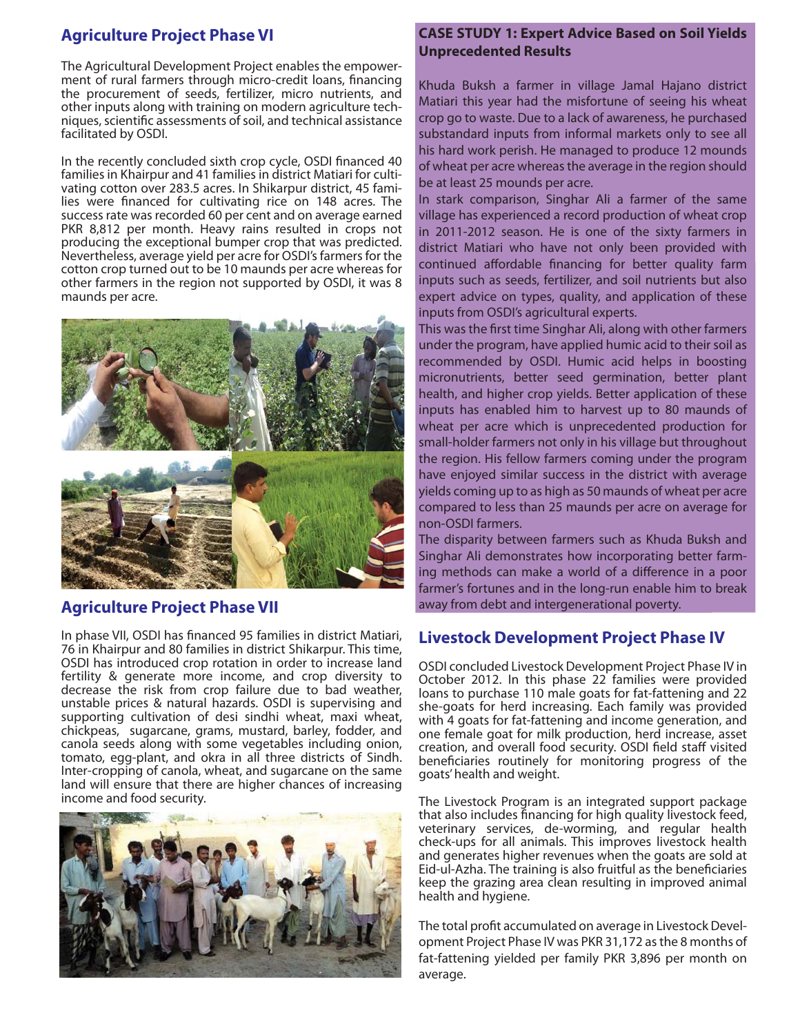### **Agriculture Project Phase VI**

The Agricultural Development Project enables the empowerment of rural farmers through micro-credit loans, financing the procurement of seeds, fertilizer, micro nutrients, and other inputs along with training on modern agriculture techniques, scientific assessments of soil, and technical assistance facilitated by OSDI.

In the recently concluded sixth crop cycle, OSDI financed 40 families in Khairpur and 41 families in district Matiari for cultivating cotton over 283.5 acres. In Shikarpur district, 45 families were financed for cultivating rice on 148 acres. The success rate was recorded 60 per cent and on average earned PKR 8,812 per month. Heavy rains resulted in crops not producing the exceptional bumper crop that was predicted. Nevertheless, average yield per acre for OSDI's farmers for the cotton crop turned out to be 10 maunds per acre whereas for other farmers in the region not supported by OSDI, it was 8 maunds per acre.



### **Agriculture Project Phase VII**

In phase VII, OSDI has financed 95 families in district Matiari, 76 in Khairpur and 80 families in district Shikarpur. This time, OSDI has introduced crop rotation in order to increase land fertility & generate more income, and crop diversity to decrease the risk from crop failure due to bad weather, unstable prices & natural hazards. OSDI is supervising and supporting cultivation of desi sindhi wheat, maxi wheat, chickpeas, sugarcane, grams, mustard, barley, fodder, and canola seeds along with some vegetables including onion, tomato, egg-plant, and okra in all three districts of Sindh. Inter-cropping of canola, wheat, and sugarcane on the same land will ensure that there are higher chances of increasing income and food security.



## **CASE STUDY 1: Expert Advice Based on Soil Yields Unprecedented Results**

Khuda Buksh a farmer in village Jamal Hajano district Matiari this year had the misfortune of seeing his wheat crop go to waste. Due to a lack of awareness, he purchased substandard inputs from informal markets only to see all his hard work perish. He managed to produce 12 mounds of wheat per acre whereas the average in the region should be at least 25 mounds per acre.

In stark comparison, Singhar Ali a farmer of the same village has experienced a record production of wheat crop in 2011-2012 season. He is one of the sixty farmers in district Matiari who have not only been provided with continued affordable financing for better quality farm inputs such as seeds, fertilizer, and soil nutrients but also expert advice on types, quality, and application of these inputs from OSDI's agricultural experts.

This was the first time Singhar Ali, along with other farmers under the program, have applied humic acid to their soil as recommended by OSDI. Humic acid helps in boosting micronutrients, better seed germination, better plant health, and higher crop yields. Better application of these inputs has enabled him to harvest up to 80 maunds of wheat per acre which is unprecedented production for small-holder farmers not only in his village but throughout the region. His fellow farmers coming under the program have enjoyed similar success in the district with average yields coming up to as high as 50 maunds of wheat per acre compared to less than 25 maunds per acre on average for non-OSDI farmers.

The disparity between farmers such as Khuda Buksh and Singhar Ali demonstrates how incorporating better farming methods can make a world of a difference in a poor farmer's fortunes and in the long-run enable him to break away from debt and intergenerational poverty.

### **Livestock Development Project Phase IV**

OSDI concluded Livestock Development Project Phase IV in October 2012. In this phase 22 families were provided loans to purchase 110 male goats for fat-fattening and 22 she-goats for herd increasing. Each family was provided with 4 goats for fat-fattening and income generation, and one female goat for milk production, herd increase, asset creation, and overall food security. OSDI field staff visited beneficiaries routinely for monitoring progress of the goats' health and weight.

The Livestock Program is an integrated support package that also includes financing for high quality livestock feed, veterinary services, de-worming, and regular health check-ups for all animals. This improves livestock health and generates higher revenues when the goats are sold at Eid-ul-Azha. The training is also fruitful as the beneficiaries keep the grazing area clean resulting in improved animal health and hygiene.

The total profit accumulated on average in Livestock Development Project Phase IV was PKR 31,172 as the 8 months of fat-fattening yielded per family PKR 3,896 per month on average.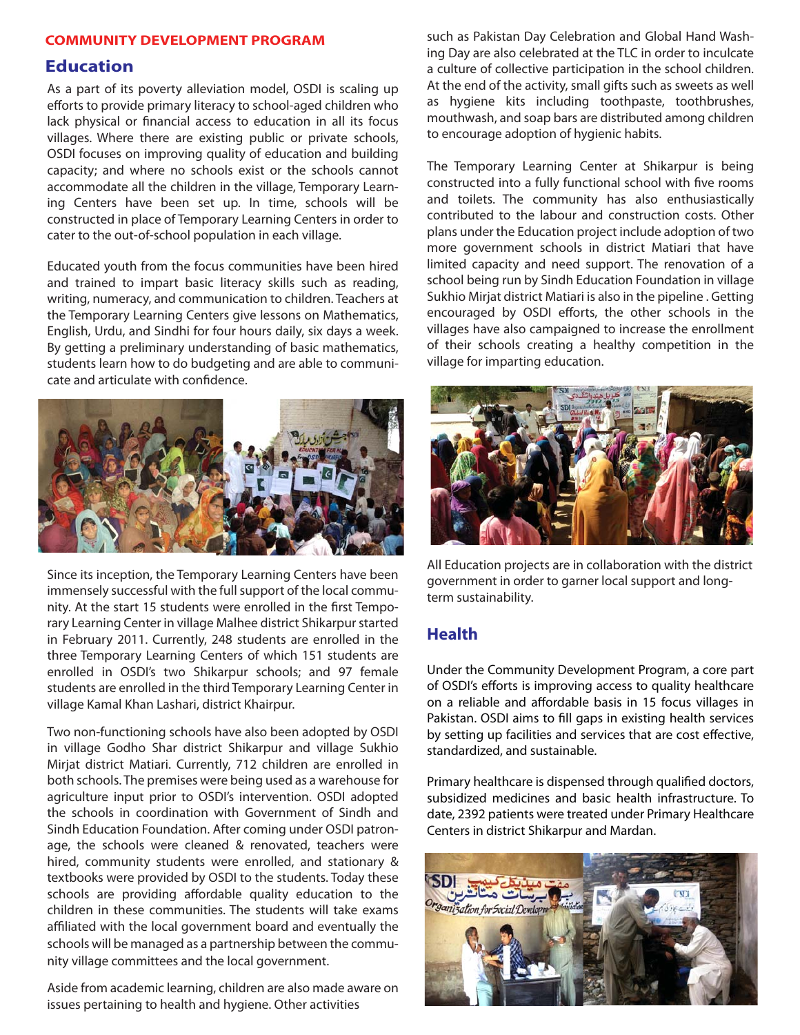### **COMMUNITY DEVELOPMENT PROGRAM COMMUNITY DEVELOPMENT PROGRAM**

**Education** As a part of its poverty alleviation model, OSDI is scaling up efforts to provide primary literacy to school-aged children who lack physical or financial access to education in all its focus villages. Where there are existing public or private schools, OSDI focuses on improving quality of education and building capacity; and where no schools exist or the schools cannot accommodate all the children in the village, Temporary Learning Centers have been set up. In time, schools will be constructed in place of Temporary Learning Centers in order to cater to the out-of-school population in each village.

Educated youth from the focus communities have been hired and trained to impart basic literacy skills such as reading, writing, numeracy, and communication to children. Teachers at the Temporary Learning Centers give lessons on Mathematics, English, Urdu, and Sindhi for four hours daily, six days a week. By getting a preliminary understanding of basic mathematics, students learn how to do budgeting and are able to communicate and articulate with confidence.



Since its inception, the Temporary Learning Centers have been immensely successful with the full support of the local community. At the start 15 students were enrolled in the first Temporary Learning Center in village Malhee district Shikarpur started in February 2011. Currently, 248 students are enrolled in the three Temporary Learning Centers of which 151 students are enrolled in OSDI's two Shikarpur schools; and 97 female students are enrolled in the third Temporary Learning Center in village Kamal Khan Lashari, district Khairpur.

Two non-functioning schools have also been adopted by OSDI in village Godho Shar district Shikarpur and village Sukhio Mirjat district Matiari. Currently, 712 children are enrolled in both schools. The premises were being used as a warehouse for agriculture input prior to OSDI's intervention. OSDI adopted the schools in coordination with Government of Sindh and Sindh Education Foundation. After coming under OSDI patronage, the schools were cleaned & renovated, teachers were hired, community students were enrolled, and stationary & textbooks were provided by OSDI to the students. Today these schools are providing affordable quality education to the children in these communities. The students will take exams affiliated with the local government board and eventually the schools will be managed as a partnership between the community village committees and the local government.

Aside from academic learning, children are also made aware on issues pertaining to health and hygiene. Other activities

such as Pakistan Day Celebration and Global Hand Washing Day are also celebrated at the TLC in order to inculcate a culture of collective participation in the school children. At the end of the activity, small gifts such as sweets as well as hygiene kits including toothpaste, toothbrushes, mouthwash, and soap bars are distributed among children to encourage adoption of hygienic habits.

The Temporary Learning Center at Shikarpur is being constructed into a fully functional school with five rooms and toilets. The community has also enthusiastically contributed to the labour and construction costs. Other plans under the Education project include adoption of two more government schools in district Matiari that have limited capacity and need support. The renovation of a school being run by Sindh Education Foundation in village Sukhio Mirjat district Matiari is also in the pipeline . Getting encouraged by OSDI efforts, the other schools in the villages have also campaigned to increase the enrollment of their schools creating a healthy competition in the village for imparting education.



All Education projects are in collaboration with the district government in order to garner local support and longterm sustainability.

### **Health**

Under the Community Development Program, a core part of OSDI's efforts is improving access to quality healthcare on a reliable and affordable basis in 15 focus villages in Pakistan. OSDI aims to fill gaps in existing health services by setting up facilities and services that are cost effective, standardized, and sustainable.

Primary healthcare is dispensed through qualified doctors, subsidized medicines and basic health infrastructure. To date, 2392 patients were treated under Primary Healthcare Centers in district Shikarpur and Mardan.

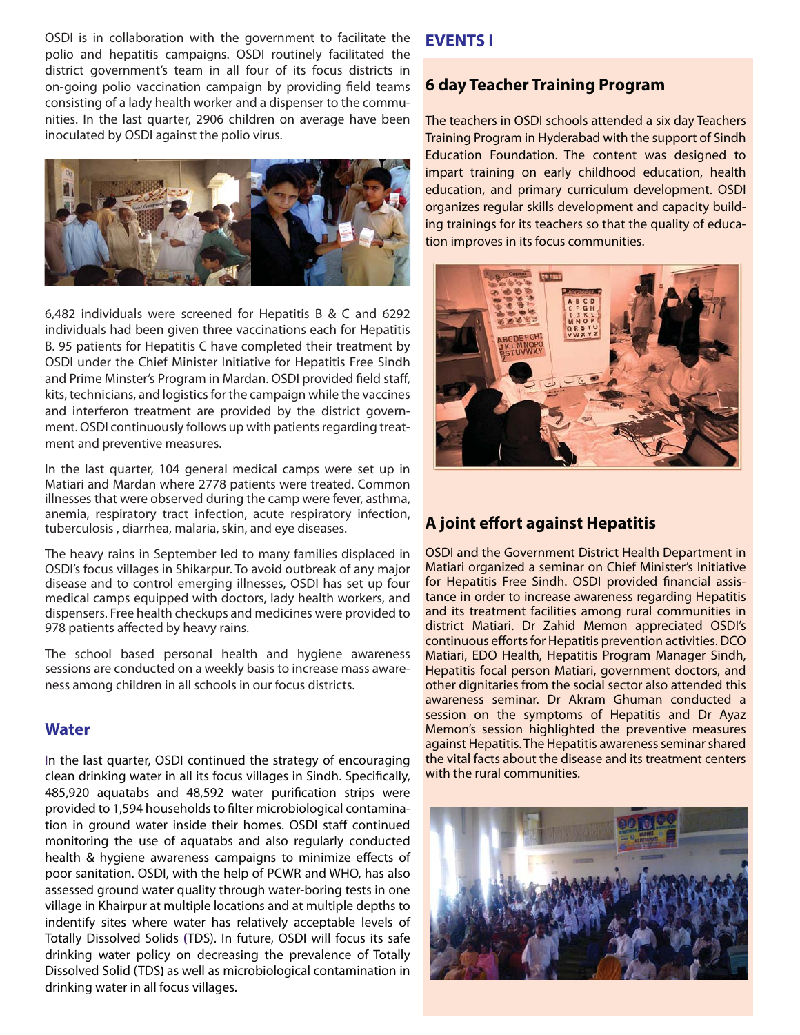OSDI is in collaboration with the government to facilitate the polio and hepatitis campaigns. OSDI routinely facilitated the district government's team in all four of its focus districts in on-going polio vaccination campaign by providing field teams consisting of a lady health worker and a dispenser to the communities. In the last quarter, 2906 children on average have been inoculated by OSDI against the polio virus.



6,482 individuals were screened for Hepatitis B & C and 6292 individuals had been given three vaccinations each for Hepatitis B. 95 patients for Hepatitis C have completed their treatment by OSDI under the Chief Minister Initiative for Hepatitis Free Sindh and Prime Minster's Program in Mardan. OSDI provided field staff, kits, technicians, and logistics for the campaign while the vaccines and interferon treatment are provided by the district government. OSDI continuously follows up with patients regarding treatment and preventive measures.

In the last quarter, 104 general medical camps were set up in Matiari and Mardan where 2778 patients were treated. Common illnesses that were observed during the camp were fever, asthma, anemia, respiratory tract infection, acute respiratory infection, tuberculosis , diarrhea, malaria, skin, and eye diseases.

The heavy rains in September led to many families displaced in OSDI's focus villages in Shikarpur. To avoid outbreak of any major disease and to control emerging illnesses, OSDI has set up four medical camps equipped with doctors, lady health workers, and dispensers. Free health checkups and medicines were provided to 978 patients affected by heavy rains.

The school based personal health and hygiene awareness sessions are conducted on a weekly basis to increase mass awareness among children in all schools in our focus districts.

### **Water**

In the last quarter, OSDI continued the strategy of encouraging clean drinking water in all its focus villages in Sindh. Specifically, 485,920 aquatabs and 48,592 water purification strips were provided to 1,594 households to filter microbiological contamination in ground water inside their homes. OSDI staff continued monitoring the use of aquatabs and also regularly conducted health & hygiene awareness campaigns to minimize effects of poor sanitation. OSDI, with the help of PCWR and WHO, has also assessed ground water quality through water-boring tests in one village in Khairpur at multiple locations and at multiple depths to indentify sites where water has relatively acceptable levels of Totally Dissolved Solids **(**TDS). In future, OSDI will focus its safe drinking water policy on decreasing the prevalence of Totally Dissolved Solid (TDS**)** as well as microbiological contamination in drinking water in all focus villages.

### **EVENTS I**

### **6 day Teacher Training Program**

The teachers in OSDI schools attended a six day Teachers Training Program in Hyderabad with the support of Sindh Education Foundation. The content was designed to impart training on early childhood education, health education, and primary curriculum development. OSDI organizes regular skills development and capacity building trainings for its teachers so that the quality of education improves in its focus communities.



# **A joint effort against Hepatitis**

OSDI and the Government District Health Department in Matiari organized a seminar on Chief Minister's Initiative for Hepatitis Free Sindh. OSDI provided financial assistance in order to increase awareness regarding Hepatitis and its treatment facilities among rural communities in district Matiari. Dr Zahid Memon appreciated OSDI's continuous efforts for Hepatitis prevention activities. DCO Matiari, EDO Health, Hepatitis Program Manager Sindh, Hepatitis focal person Matiari, government doctors, and other dignitaries from the social sector also attended this awareness seminar. Dr Akram Ghuman conducted a session on the symptoms of Hepatitis and Dr Ayaz Memon's session highlighted the preventive measures against Hepatitis. The Hepatitis awareness seminar shared the vital facts about the disease and its treatment centers with the rural communities.

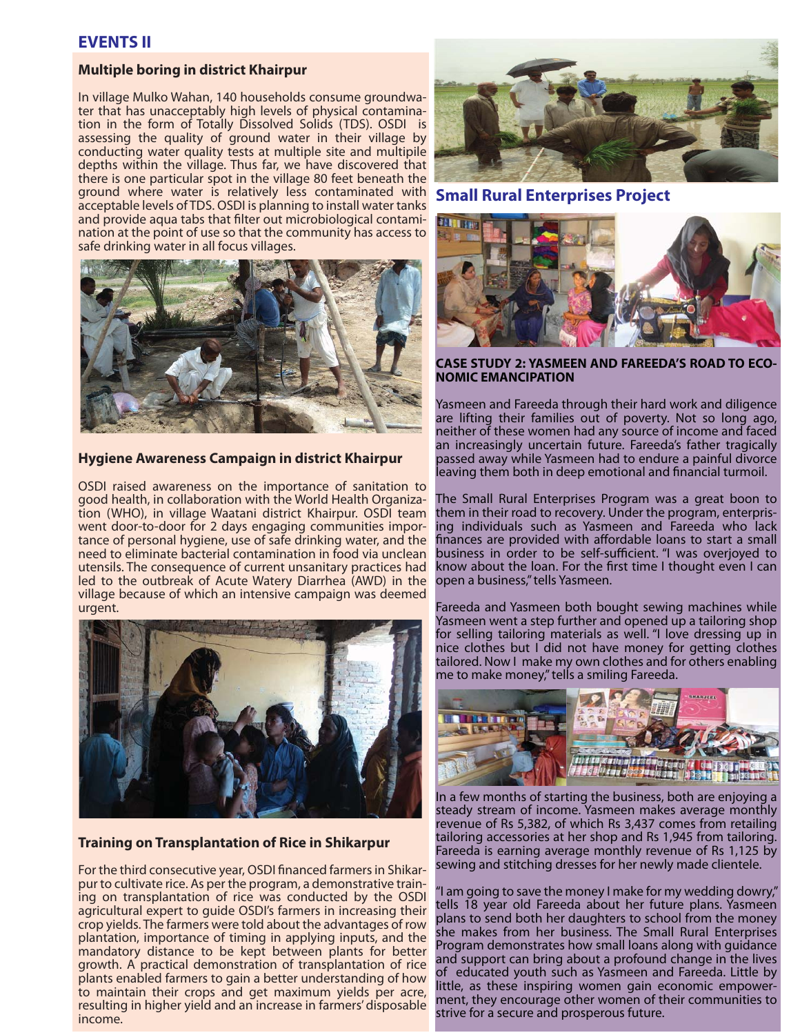# **EVENTS II**

# **Multiple boring in district Khairpur**

In village Mulko Wahan, 140 households consume groundwater that has unacceptably high levels of physical contamination in the form of Totally Dissolved Solids (TDS). OSDI is assessing the quality of ground water in their village by conducting water quality tests at multiple site and multipile depths within the village. Thus far, we have discovered that there is one particular spot in the village 80 feet beneath the ground where water is relatively less contaminated with acceptable levels of TDS. OSDI is planning to install water tanks and provide aqua tabs that filter out microbiological contamination at the point of use so that the community has access to safe drinking water in all focus villages.



### **Hygiene Awareness Campaign in district Khairpur**

OSDI raised awareness on the importance of sanitation to good health, in collaboration with the World Health Organization (WHO), in village Waatani district Khairpur. OSDI team went door-to-door for 2 days engaging communities importance of personal hygiene, use of safe drinking water, and the need to eliminate bacterial contamination in food via unclean utensils. The consequence of current unsanitary practices had led to the outbreak of Acute Watery Diarrhea (AWD) in the village because of which an intensive campaign was deemed urgent.



## **Training on Transplantation of Rice in Shikarpur**

For the third consecutive year, OSDI financed farmers in Shikarpur to cultivate rice. As per the program, a demonstrative training on transplantation of rice was conducted by the OSDI agricultural expert to guide OSDI's farmers in increasing their crop yields. The farmers were told about the advantages of row plantation, importance of timing in applying inputs, and the mandatory distance to be kept between plants for better growth. A practical demonstration of transplantation of rice plants enabled farmers to gain a better understanding of how to maintain their crops and get maximum yields per acre, resulting in higher yield and an increase in farmers' disposable income.





# **CASE STUDY 2: YASMEEN AND FAREEDA'S ROAD TO ECO-**

Yasmeen and Fareeda through their hard work and diligence are lifting their families out of poverty. Not so long ago, neither of these women had any source of income and faced an increasingly uncertain future. Fareeda's father tragically passed away while Yasmeen had to endure a painful divorce leaving them both in deep emotional and financial turmoil.

The Small Rural Enterprises Program was a great boon to them in their road to recovery. Under the program, enterprising individuals such as Yasmeen and Fareeda who lack finances are provided with affordable loans to start a small business in order to be self-sufficient. "I was overjoyed to know about the loan. For the first time I thought even I can open a business," tells Yasmeen.

Fareeda and Yasmeen both bought sewing machines while Yasmeen went a step further and opened up a tailoring shop for selling tailoring materials as well. "I love dressing up in nice clothes but I did not have money for getting clothes tailored. Now I make my own clothes and for others enabling me to make money," tells a smiling Fareeda.



In a few months of starting the business, both are enjoying a steady stream of income. Yasmeen makes average monthly revenue of Rs 5,382, of which Rs 3,437 comes from retailing tailoring accessories at her shop and Rs 1,945 from tailoring. Fareeda is earning average monthly revenue of Rs 1,125 by sewing and stitching dresses for her newly made clientele.

"I am going to save the money I make for my wedding dowry," tells 18 year old Fareeda about her future plans. Yasmeen plans to send both her daughters to school from the money she makes from her business. The Small Rural Enterprises Program demonstrates how small loans along with guidance and support can bring about a profound change in the lives of educated youth such as Yasmeen and Fareeda. Little by little, as these inspiring women gain economic empowerment, they encourage other women of their communities to strive for a secure and prosperous future.